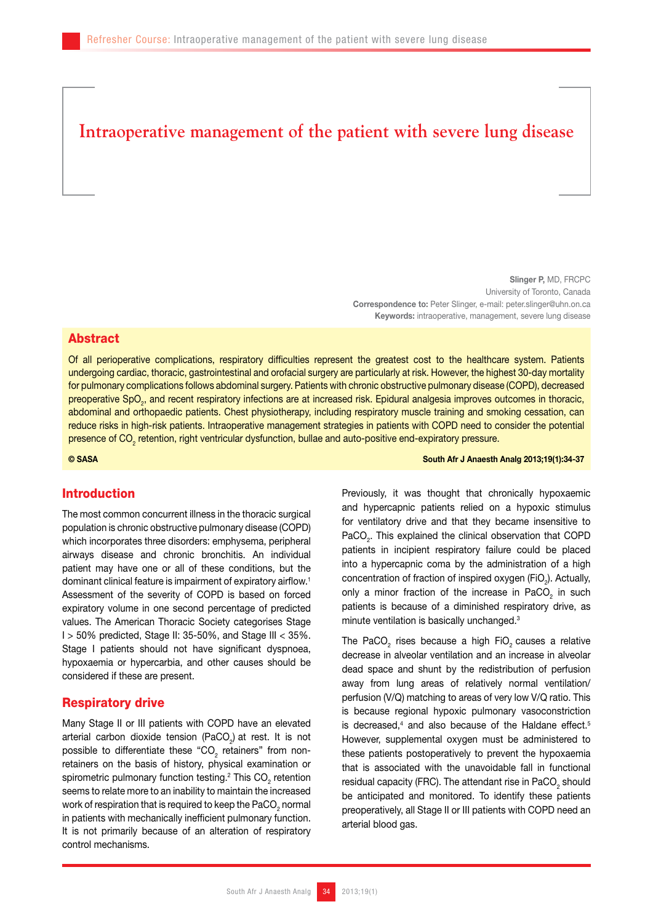# **Intraoperative management of the patient with severe lung disease**

Slinger P, MD, FRCPC University of Toronto, Canada Correspondence to: Peter Slinger, e-mail: peter.slinger@uhn.on.ca Keywords: intraoperative, management, severe lung disease

## Abstract

Of all perioperative complications, respiratory difficulties represent the greatest cost to the healthcare system. Patients undergoing cardiac, thoracic, gastrointestinal and orofacial surgery are particularly at risk. However, the highest 30-day mortality for pulmonary complications follows abdominal surgery. Patients with chronic obstructive pulmonary disease (COPD), decreased preoperative SpO<sub>2</sub>, and recent respiratory infections are at increased risk. Epidural analgesia improves outcomes in thoracic, abdominal and orthopaedic patients. Chest physiotherapy, including respiratory muscle training and smoking cessation, can reduce risks in high-risk patients. Intraoperative management strategies in patients with COPD need to consider the potential presence of CO<sub>2</sub> retention, right ventricular dysfunction, bullae and auto-positive end-expiratory pressure.

## Introduction

The most common concurrent illness in the thoracic surgical population is chronic obstructive pulmonary disease (COPD) which incorporates three disorders: emphysema, peripheral airways disease and chronic bronchitis. An individual patient may have one or all of these conditions, but the dominant clinical feature is impairment of expiratory airflow.<sup>1</sup> Assessment of the severity of COPD is based on forced expiratory volume in one second percentage of predicted values. The American Thoracic Society categorises Stage  $I > 50\%$  predicted, Stage II: 35-50%, and Stage III < 35%. Stage I patients should not have significant dyspnoea, hypoxaemia or hypercarbia, and other causes should be considered if these are present.

## Respiratory drive

Many Stage II or III patients with COPD have an elevated arterial carbon dioxide tension (PaCO<sub>2</sub>) at rest. It is not possible to differentiate these "CO<sub>2</sub> retainers" from nonretainers on the basis of history, physical examination or spirometric pulmonary function testing.<sup>2</sup> This CO<sub>2</sub> retention seems to relate more to an inability to maintain the increased work of respiration that is required to keep the PaCO $_{_2}$ normal in patients with mechanically inefficient pulmonary function. It is not primarily because of an alteration of respiratory control mechanisms.

© SASA South Afr J Anaesth Analg 2013;19(1):34-37

Previously, it was thought that chronically hypoxaemic and hypercapnic patients relied on a hypoxic stimulus for ventilatory drive and that they became insensitive to PaCO<sub>2</sub>. This explained the clinical observation that COPD patients in incipient respiratory failure could be placed into a hypercapnic coma by the administration of a high concentration of fraction of inspired oxygen (FiO<sub>2</sub>). Actually, only a minor fraction of the increase in PaCO<sub>2</sub> in such patients is because of a diminished respiratory drive, as minute ventilation is basically unchanged.3

The PaCO<sub>2</sub> rises because a high FiO<sub>2</sub> causes a relative decrease in alveolar ventilation and an increase in alveolar dead space and shunt by the redistribution of perfusion away from lung areas of relatively normal ventilation/ perfusion (V/Q) matching to areas of very low V/Q ratio. This is because regional hypoxic pulmonary vasoconstriction is decreased, $4$  and also because of the Haldane effect.<sup>5</sup> However, supplemental oxygen must be administered to these patients postoperatively to prevent the hypoxaemia that is associated with the unavoidable fall in functional residual capacity (FRC). The attendant rise in  $\mathsf{PaCO}_2$  should be anticipated and monitored. To identify these patients preoperatively, all Stage II or III patients with COPD need an arterial blood gas.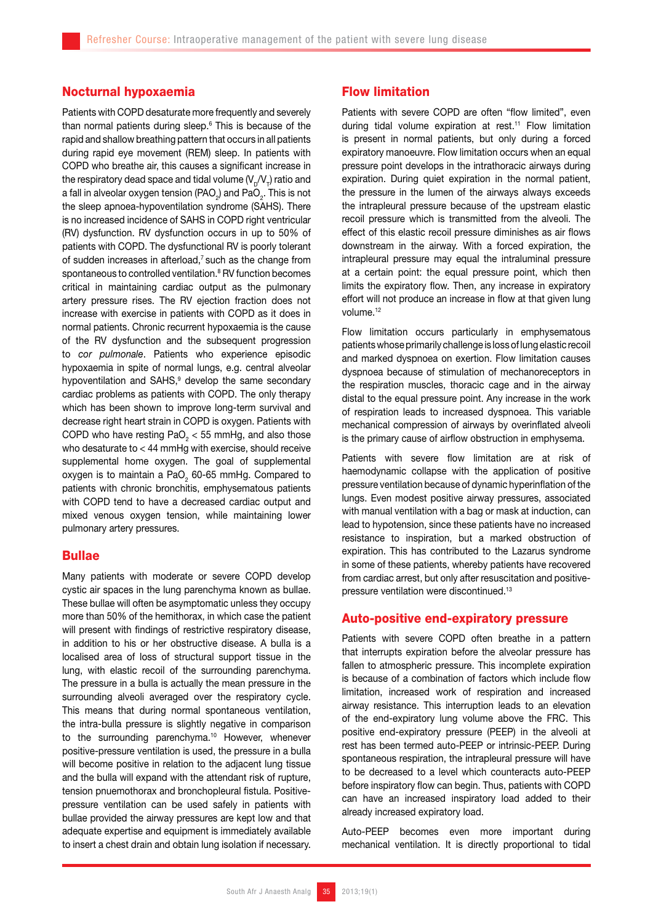## Nocturnal hypoxaemia

Patients with COPD desaturate more frequently and severely than normal patients during sleep.<sup>6</sup> This is because of the rapid and shallow breathing pattern that occurs in all patients during rapid eye movement (REM) sleep. In patients with COPD who breathe air, this causes a significant increase in the respiratory dead space and tidal volume  $(V_{p}/V_{T})$  ratio and a fall in alveolar oxygen tension (PAO $_2^{}$ ) and PaO $_2^{}$ . This is not the sleep apnoea-hypoventilation syndrome (SAHS). There is no increased incidence of SAHS in COPD right ventricular (RV) dysfunction. RV dysfunction occurs in up to 50% of patients with COPD. The dysfunctional RV is poorly tolerant of sudden increases in afterload, $7$  such as the change from spontaneous to controlled ventilation.<sup>8</sup> RV function becomes critical in maintaining cardiac output as the pulmonary artery pressure rises. The RV ejection fraction does not increase with exercise in patients with COPD as it does in normal patients. Chronic recurrent hypoxaemia is the cause of the RV dysfunction and the subsequent progression to *cor pulmonale*. Patients who experience episodic hypoxaemia in spite of normal lungs, e.g. central alveolar hypoventilation and SAHS,<sup>9</sup> develop the same secondary cardiac problems as patients with COPD. The only therapy which has been shown to improve long-term survival and decrease right heart strain in COPD is oxygen. Patients with COPD who have resting PaO<sub>2</sub> < 55 mmHg, and also those who desaturate to < 44 mmHg with exercise, should receive supplemental home oxygen. The goal of supplemental oxygen is to maintain a PaO<sub>2</sub> 60-65 mmHg. Compared to patients with chronic bronchitis, emphysematous patients with COPD tend to have a decreased cardiac output and mixed venous oxygen tension, while maintaining lower pulmonary artery pressures.

#### Bullae

Many patients with moderate or severe COPD develop cystic air spaces in the lung parenchyma known as bullae. These bullae will often be asymptomatic unless they occupy more than 50% of the hemithorax, in which case the patient will present with findings of restrictive respiratory disease, in addition to his or her obstructive disease. A bulla is a localised area of loss of structural support tissue in the lung, with elastic recoil of the surrounding parenchyma. The pressure in a bulla is actually the mean pressure in the surrounding alveoli averaged over the respiratory cycle. This means that during normal spontaneous ventilation, the intra-bulla pressure is slightly negative in comparison to the surrounding parenchyma.<sup>10</sup> However, whenever positive-pressure ventilation is used, the pressure in a bulla will become positive in relation to the adjacent lung tissue and the bulla will expand with the attendant risk of rupture, tension pnuemothorax and bronchopleural fistula. Positivepressure ventilation can be used safely in patients with bullae provided the airway pressures are kept low and that adequate expertise and equipment is immediately available to insert a chest drain and obtain lung isolation if necessary.

# Flow limitation

Patients with severe COPD are often "flow limited", even during tidal volume expiration at rest.<sup>11</sup> Flow limitation is present in normal patients, but only during a forced expiratory manoeuvre. Flow limitation occurs when an equal pressure point develops in the intrathoracic airways during expiration. During quiet expiration in the normal patient, the pressure in the lumen of the airways always exceeds the intrapleural pressure because of the upstream elastic recoil pressure which is transmitted from the alveoli. The effect of this elastic recoil pressure diminishes as air flows downstream in the airway. With a forced expiration, the intrapleural pressure may equal the intraluminal pressure at a certain point: the equal pressure point, which then limits the expiratory flow. Then, any increase in expiratory effort will not produce an increase in flow at that given lung volume.12

Flow limitation occurs particularly in emphysematous patients whose primarily challenge is loss of lung elastic recoil and marked dyspnoea on exertion. Flow limitation causes dyspnoea because of stimulation of mechanoreceptors in the respiration muscles, thoracic cage and in the airway distal to the equal pressure point. Any increase in the work of respiration leads to increased dyspnoea. This variable mechanical compression of airways by overinflated alveoli is the primary cause of airflow obstruction in emphysema.

Patients with severe flow limitation are at risk of haemodynamic collapse with the application of positive pressure ventilation because of dynamic hyperinflation of the lungs. Even modest positive airway pressures, associated with manual ventilation with a bag or mask at induction, can lead to hypotension, since these patients have no increased resistance to inspiration, but a marked obstruction of expiration. This has contributed to the Lazarus syndrome in some of these patients, whereby patients have recovered from cardiac arrest, but only after resuscitation and positivepressure ventilation were discontinued.13

## Auto-positive end-expiratory pressure

Patients with severe COPD often breathe in a pattern that interrupts expiration before the alveolar pressure has fallen to atmospheric pressure. This incomplete expiration is because of a combination of factors which include flow limitation, increased work of respiration and increased airway resistance. This interruption leads to an elevation of the end-expiratory lung volume above the FRC. This positive end-expiratory pressure (PEEP) in the alveoli at rest has been termed auto-PEEP or intrinsic-PEEP. During spontaneous respiration, the intrapleural pressure will have to be decreased to a level which counteracts auto-PEEP before inspiratory flow can begin. Thus, patients with COPD can have an increased inspiratory load added to their already increased expiratory load.

Auto-PEEP becomes even more important during mechanical ventilation. It is directly proportional to tidal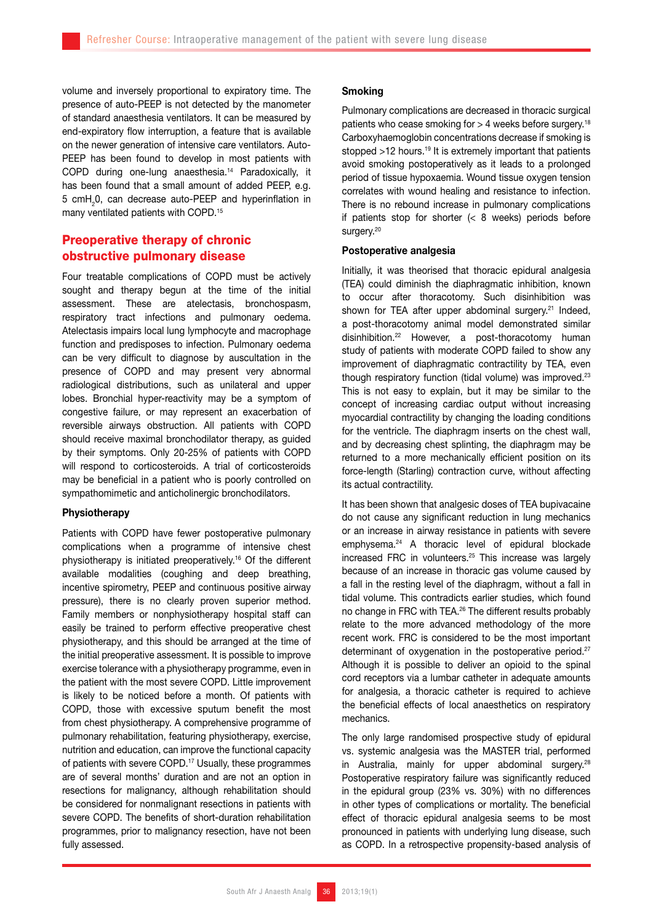volume and inversely proportional to expiratory time. The presence of auto-PEEP is not detected by the manometer of standard anaesthesia ventilators. It can be measured by end-expiratory flow interruption, a feature that is available on the newer generation of intensive care ventilators. Auto-PEEP has been found to develop in most patients with COPD during one-lung anaesthesia.14 Paradoxically, it has been found that a small amount of added PEEP, e.g. 5 cmH<sub>2</sub>0, can decrease auto-PEEP and hyperinflation in many ventilated patients with COPD.15

# Preoperative therapy of chronic obstructive pulmonary disease

Four treatable complications of COPD must be actively sought and therapy begun at the time of the initial assessment. These are atelectasis, bronchospasm, respiratory tract infections and pulmonary oedema. Atelectasis impairs local lung lymphocyte and macrophage function and predisposes to infection. Pulmonary oedema can be very difficult to diagnose by auscultation in the presence of COPD and may present very abnormal radiological distributions, such as unilateral and upper lobes. Bronchial hyper-reactivity may be a symptom of congestive failure, or may represent an exacerbation of reversible airways obstruction. All patients with COPD should receive maximal bronchodilator therapy, as guided by their symptoms. Only 20-25% of patients with COPD will respond to corticosteroids. A trial of corticosteroids may be beneficial in a patient who is poorly controlled on sympathomimetic and anticholinergic bronchodilators.

#### **Physiotherapy**

Patients with COPD have fewer postoperative pulmonary complications when a programme of intensive chest physiotherapy is initiated preoperatively.16 Of the different available modalities (coughing and deep breathing, incentive spirometry, PEEP and continuous positive airway pressure), there is no clearly proven superior method. Family members or nonphysiotherapy hospital staff can easily be trained to perform effective preoperative chest physiotherapy, and this should be arranged at the time of the initial preoperative assessment. It is possible to improve exercise tolerance with a physiotherapy programme, even in the patient with the most severe COPD. Little improvement is likely to be noticed before a month. Of patients with COPD, those with excessive sputum benefit the most from chest physiotherapy. A comprehensive programme of pulmonary rehabilitation, featuring physiotherapy, exercise, nutrition and education, can improve the functional capacity of patients with severe COPD.17 Usually, these programmes are of several months' duration and are not an option in resections for malignancy, although rehabilitation should be considered for nonmalignant resections in patients with severe COPD. The benefits of short-duration rehabilitation programmes, prior to malignancy resection, have not been fully assessed.

### **Smoking**

Pulmonary complications are decreased in thoracic surgical patients who cease smoking for > 4 weeks before surgery.<sup>18</sup> Carboxyhaemoglobin concentrations decrease if smoking is stopped  $>12$  hours.<sup>19</sup> It is extremely important that patients avoid smoking postoperatively as it leads to a prolonged period of tissue hypoxaemia. Wound tissue oxygen tension correlates with wound healing and resistance to infection. There is no rebound increase in pulmonary complications if patients stop for shorter  $( $8$  weeks) periods before$ surgery.<sup>20</sup>

### Postoperative analgesia

Initially, it was theorised that thoracic epidural analgesia (TEA) could diminish the diaphragmatic inhibition, known to occur after thoracotomy. Such disinhibition was shown for TEA after upper abdominal surgery.<sup>21</sup> Indeed, a post-thoracotomy animal model demonstrated similar disinhibition.22 However, a post-thoracotomy human study of patients with moderate COPD failed to show any improvement of diaphragmatic contractility by TEA, even though respiratory function (tidal volume) was improved.<sup>23</sup> This is not easy to explain, but it may be similar to the concept of increasing cardiac output without increasing myocardial contractility by changing the loading conditions for the ventricle. The diaphragm inserts on the chest wall, and by decreasing chest splinting, the diaphragm may be returned to a more mechanically efficient position on its force-length (Starling) contraction curve, without affecting its actual contractility.

It has been shown that analgesic doses of TEA bupivacaine do not cause any significant reduction in lung mechanics or an increase in airway resistance in patients with severe emphysema.24 A thoracic level of epidural blockade increased FRC in volunteers.<sup>25</sup> This increase was largely because of an increase in thoracic gas volume caused by a fall in the resting level of the diaphragm, without a fall in tidal volume. This contradicts earlier studies, which found no change in FRC with TEA.<sup>26</sup> The different results probably relate to the more advanced methodology of the more recent work. FRC is considered to be the most important determinant of oxygenation in the postoperative period.<sup>27</sup> Although it is possible to deliver an opioid to the spinal cord receptors via a lumbar catheter in adequate amounts for analgesia, a thoracic catheter is required to achieve the beneficial effects of local anaesthetics on respiratory mechanics.

The only large randomised prospective study of epidural vs. systemic analgesia was the MASTER trial, performed in Australia, mainly for upper abdominal surgery.<sup>28</sup> Postoperative respiratory failure was significantly reduced in the epidural group (23% vs. 30%) with no differences in other types of complications or mortality. The beneficial effect of thoracic epidural analgesia seems to be most pronounced in patients with underlying lung disease, such as COPD. In a retrospective propensity-based analysis of